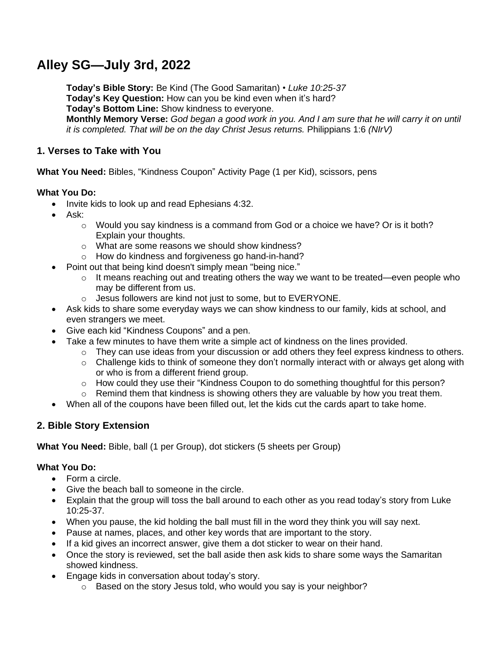# **Alley SG—July 3rd, 2022**

**Today's Bible Story:** Be Kind (The Good Samaritan) • *Luke 10:25-37* **Today's Key Question:** How can you be kind even when it's hard? **Today's Bottom Line:** Show kindness to everyone. Monthly Memory Verse: God began a good work in you. And I am sure that he will carry it on until *it is completed. That will be on the day Christ Jesus returns.* Philippians 1:6 *(NIrV)*

## **1. Verses to Take with You**

**What You Need:** Bibles, "Kindness Coupon" Activity Page (1 per Kid), scissors, pens

## **What You Do:**

- Invite kids to look up and read Ephesians 4:32.
- Ask:
	- $\circ$  Would you say kindness is a command from God or a choice we have? Or is it both? Explain your thoughts.
	- o What are some reasons we should show kindness?
	- o How do kindness and forgiveness go hand-in-hand?
- Point out that being kind doesn't simply mean "being nice."
	- $\circ$  It means reaching out and treating others the way we want to be treated—even people who may be different from us.
	- o Jesus followers are kind not just to some, but to EVERYONE.
- Ask kids to share some everyday ways we can show kindness to our family, kids at school, and even strangers we meet.
- Give each kid "Kindness Coupons" and a pen.
- Take a few minutes to have them write a simple act of kindness on the lines provided.
	- o They can use ideas from your discussion or add others they feel express kindness to others.
	- o Challenge kids to think of someone they don't normally interact with or always get along with or who is from a different friend group.
	- o How could they use their "Kindness Coupon to do something thoughtful for this person?
	- $\circ$  Remind them that kindness is showing others they are valuable by how you treat them.
- When all of the coupons have been filled out, let the kids cut the cards apart to take home.

## **2. Bible Story Extension**

**What You Need:** Bible, ball (1 per Group), dot stickers (5 sheets per Group)

## **What You Do:**

- Form a circle.
- Give the beach ball to someone in the circle.
- Explain that the group will toss the ball around to each other as you read today's story from Luke 10:25-37.
- When you pause, the kid holding the ball must fill in the word they think you will say next.
- Pause at names, places, and other key words that are important to the story.
- If a kid gives an incorrect answer, give them a dot sticker to wear on their hand.
- Once the story is reviewed, set the ball aside then ask kids to share some ways the Samaritan showed kindness.
- Engage kids in conversation about today's story.
	- o Based on the story Jesus told, who would you say is your neighbor?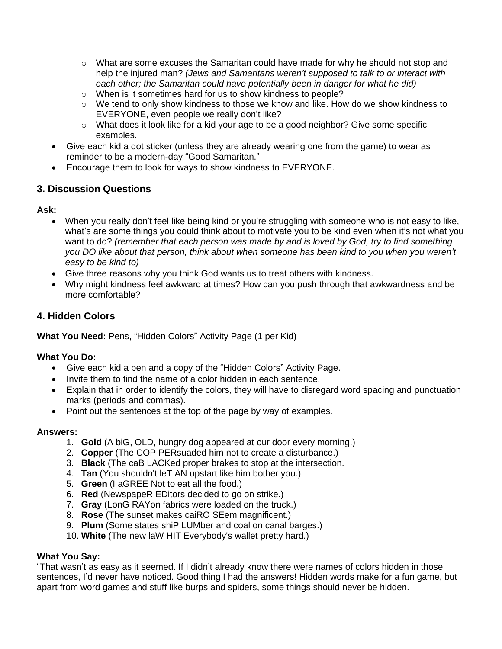- $\circ$  What are some excuses the Samaritan could have made for why he should not stop and help the injured man? *(Jews and Samaritans weren't supposed to talk to or interact with each other; the Samaritan could have potentially been in danger for what he did)*
- o When is it sometimes hard for us to show kindness to people?
- o We tend to only show kindness to those we know and like. How do we show kindness to EVERYONE, even people we really don't like?
- $\circ$  What does it look like for a kid your age to be a good neighbor? Give some specific examples.
- Give each kid a dot sticker (unless they are already wearing one from the game) to wear as reminder to be a modern-day "Good Samaritan."
- Encourage them to look for ways to show kindness to EVERYONE.

## **3. Discussion Questions**

## **Ask:**

- When you really don't feel like being kind or you're struggling with someone who is not easy to like, what's are some things you could think about to motivate you to be kind even when it's not what you want to do? *(remember that each person was made by and is loved by God, try to find something you DO like about that person, think about when someone has been kind to you when you weren't easy to be kind to)*
- Give three reasons why you think God wants us to treat others with kindness.
- Why might kindness feel awkward at times? How can you push through that awkwardness and be more comfortable?

## **4. Hidden Colors**

**What You Need:** Pens, "Hidden Colors" Activity Page (1 per Kid)

## **What You Do:**

- Give each kid a pen and a copy of the "Hidden Colors" Activity Page.
- Invite them to find the name of a color hidden in each sentence.
- Explain that in order to identify the colors, they will have to disregard word spacing and punctuation marks (periods and commas).
- Point out the sentences at the top of the page by way of examples.

#### **Answers:**

- 1. **Gold** (A biG, OLD, hungry dog appeared at our door every morning.)
- 2. **Copper** (The COP PERsuaded him not to create a disturbance.)
- 3. **Black** (The caB LACKed proper brakes to stop at the intersection.
- 4. **Tan** (You shouldn't leT AN upstart like him bother you.)
- 5. **Green** (I aGREE Not to eat all the food.)
- 6. **Red** (NewspapeR EDitors decided to go on strike.)
- 7. **Gray** (LonG RAYon fabrics were loaded on the truck.)
- 8. **Rose** (The sunset makes caiRO SEem magnificent.)
- 9. **Plum** (Some states shiP LUMber and coal on canal barges.)
- 10. **White** (The new laW HIT Everybody's wallet pretty hard.)

#### **What You Say:**

"That wasn't as easy as it seemed. If I didn't already know there were names of colors hidden in those sentences, I'd never have noticed. Good thing I had the answers! Hidden words make for a fun game, but apart from word games and stuff like burps and spiders, some things should never be hidden.